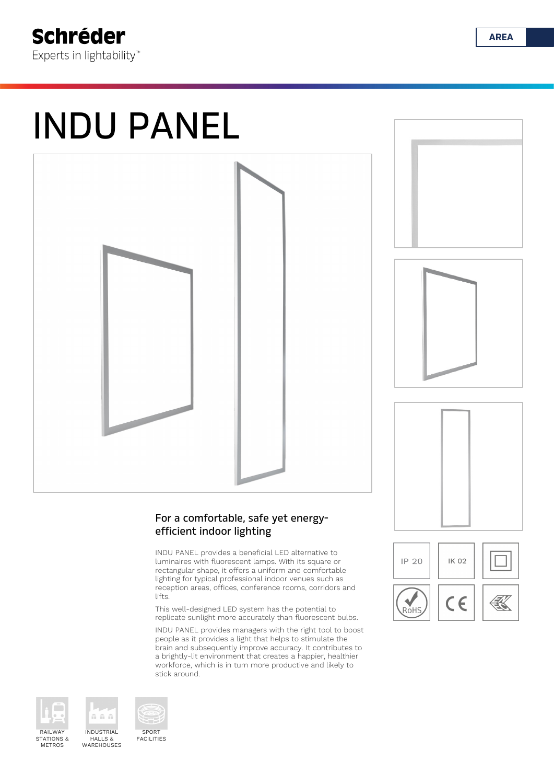# INDU PANEL



### For a comfortable, safe yet energyefficient indoor lighting

INDU PANEL provides a beneficial LED alternative to luminaires with fluorescent lamps. With its square or rectangular shape, it offers a uniform and comfortable lighting for typical professional indoor venues such as reception areas, offices, conference rooms, corridors and lifts.

This well-designed LED system has the potential to replicate sunlight more accurately than fluorescent bulbs.

INDU PANEL provides managers with the right tool to boost people as it provides a light that helps to stimulate the brain and subsequently improve accuracy. It contributes to a brightly-lit environment that creates a happier, healthier workforce, which is in turn more productive and likely to stick around.





RAILWAY STATIONS & METROS



INDUSTRIAL HALLS &

n n n

SPORT FACILITIES







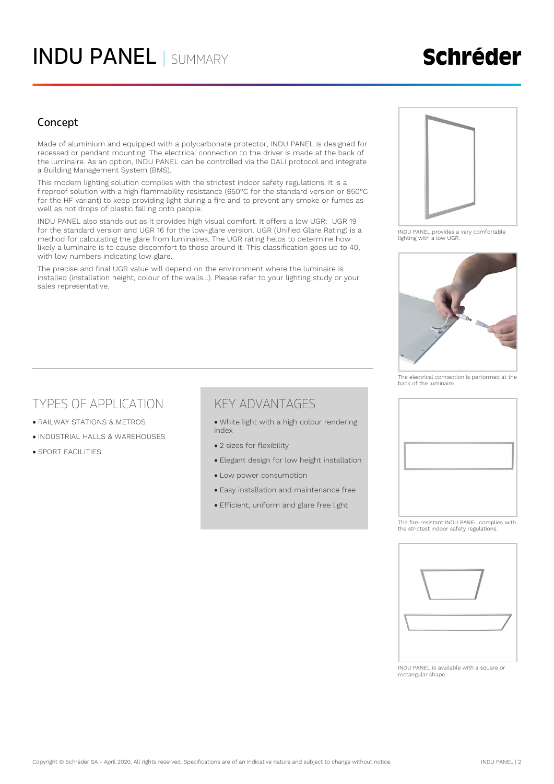### INDU PANEL | SUMMARY

# **Schréder**

### Concept

Made of aluminium and equipped with a polycarbonate protector, INDU PANEL is designed for recessed or pendant mounting. The electrical connection to the driver is made at the back of the luminaire. As an option, INDU PANEL can be controlled via the DALI protocol and integrate a Building Management System (BMS).

This modern lighting solution complies with the strictest indoor safety regulations. It is a fireproof solution with a high flammability resistance (650°C for the standard version or 850°C for the HF variant) to keep providing light during a fire and to prevent any smoke or fumes as well as hot drops of plastic falling onto people.

INDU PANEL also stands out as it provides high visual comfort. It offers a low UGR: UGR 19 for the standard version and UGR 16 for the low-glare version. UGR (Unified Glare Rating) is a method for calculating the glare from luminaires. The UGR rating helps to determine how likely a luminaire is to cause discomfort to those around it. This classification goes up to 40, with low numbers indicating low glare.

The precise and final UGR value will depend on the environment where the luminaire is installed (installation height, colour of the walls…). Please refer to your lighting study or your sales representative.



INDU PANEL provides a very comfortable lighting with a low UGR.



The electrical connection is performed at the back of the luminaire.

### TYPES OF APPLICATION

- RAILWAY STATIONS & METROS
- INDUSTRIAL HALLS & WAREHOUSES
- SPORT FACILITIES

### KEY ADVANTAGES

- White light with a high colour rendering index
- 2 sizes for flexibility
- Elegant design for low height installation
- Low power consumption
- Easy installation and maintenance free
- Efficient, uniform and glare free light



The fire-resistant INDU PANEL complies with the strictest indoor safety regulations.



INDU PANEL is available with a square or rectangular shape.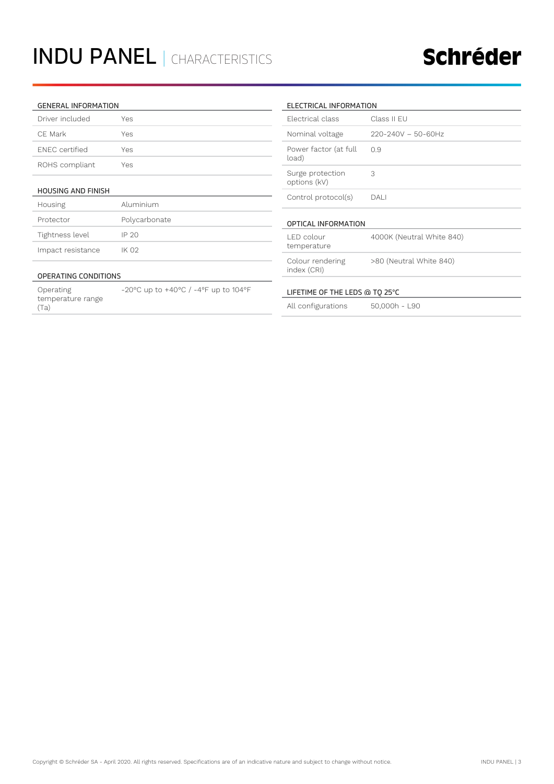# INDU PANEL | CHARACTERISTICS

## Schréder

#### GENERAL INFORMATION

| Driver included       | Yes |
|-----------------------|-----|
| CF Mark               | Yes |
| <b>FNFC</b> certified | Yes |
| ROHS compliant        | Yes |

#### HOUSING AND FINISH

| Housing           | Aluminium     |
|-------------------|---------------|
| Protector         | Polycarbonate |
| Tightness level   | IP 20         |
| Impact resistance | IK 02         |

#### OPERATING CONDITIONS

Operating temperature range (Ta) -20°C up to +40°C / -4°F up to 104°F

#### ELECTRICAL INFORMATION

| <b>Flectrical class</b>          | Class II FU               |  |  |  |
|----------------------------------|---------------------------|--|--|--|
| Nominal voltage                  | $220 - 240V - 50 - 60Hz$  |  |  |  |
| Power factor (at full<br>load)   | 0.9                       |  |  |  |
| Surge protection<br>options (kV) | 3                         |  |  |  |
| Control protocol(s)              | DAI                       |  |  |  |
| OPTICAL INFORMATION              |                           |  |  |  |
| LED colour<br>temperature        | 4000K (Neutral White 840) |  |  |  |
| Colour rendering<br>index (CRI)  | >80 (Neutral White 840)   |  |  |  |
| LIFETIME OF THE LEDS @ TO 25°C   |                           |  |  |  |
| All configurations               | 50,000h - L90             |  |  |  |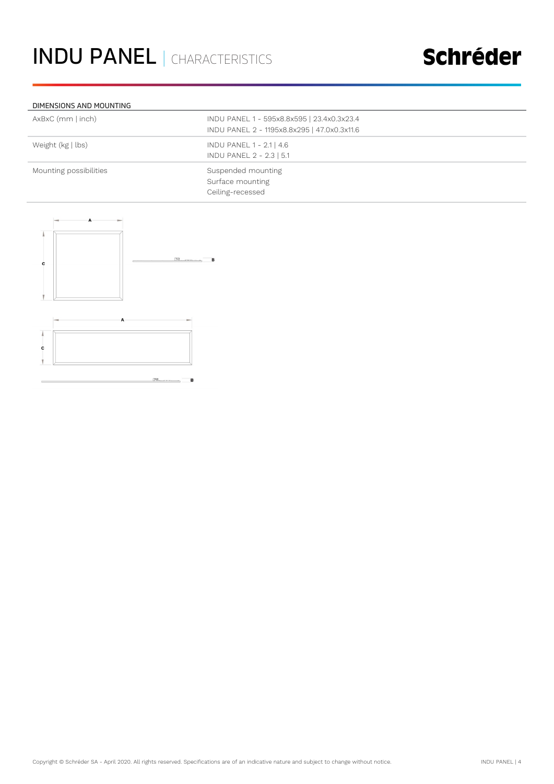# Schréder

#### DIMENSIONS AND MOUNTING

| AxBxC (mm   inch)      | INDU PANEL 1 - 595x8.8x595   23.4x0.3x23.4<br>INDU PANEL 2 - 1195x8.8x295   47.0x0.3x11.6 |
|------------------------|-------------------------------------------------------------------------------------------|
| Weight (kg   lbs)      | INDU PANEL 1 - 2.1   4.6<br>INDU PANEL 2 - 2.3   5.1                                      |
| Mounting possibilities | Suspended mounting<br>Surface mounting<br>Ceiling-recessed                                |

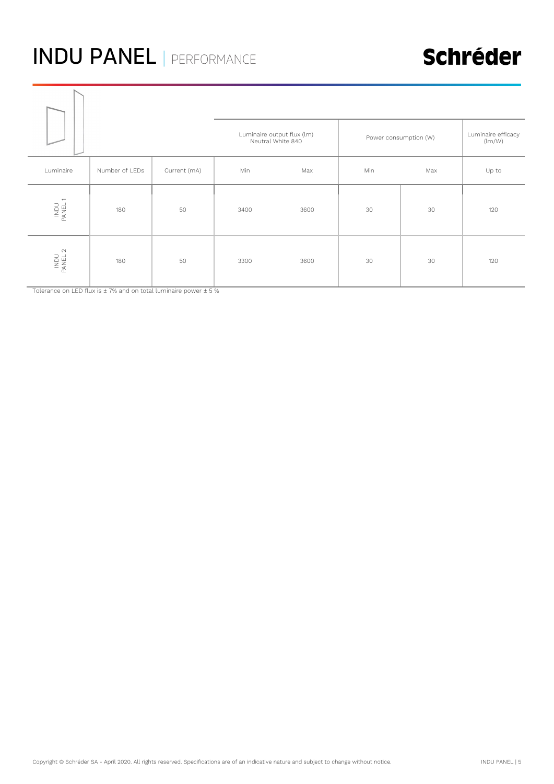# INDU PANEL | PERFORMANCE

## Schréder

|                 |                | Luminaire output flux (lm)<br>Neutral White 840 |      | Power consumption (W) |     | Luminaire efficacy<br>(lm/W) |       |
|-----------------|----------------|-------------------------------------------------|------|-----------------------|-----|------------------------------|-------|
| Luminaire       | Number of LEDs | Current (mA)                                    | Min  | Max                   | Min | Max                          | Up to |
| INDU<br>PANEL 1 | 180            | 50                                              | 3400 | 3600                  | 30  | 30                           | 120   |
| INDU<br>PANEL 2 | 180            | 50                                              | 3300 | 3600                  | 30  | 30                           | 120   |

Tolerance on LED flux is ± 7% and on total luminaire power ± 5 %